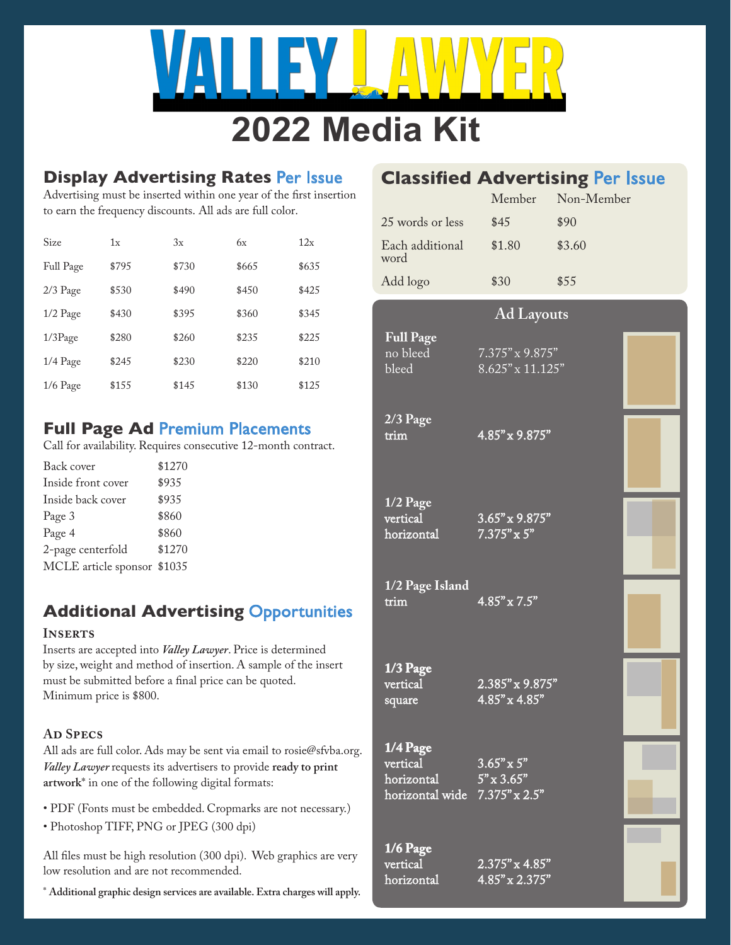

# **2022 Media Kit**

## **Display Advertising Rates** Per Issue

Advertising must be inserted within one year of the first insertion to earn the frequency discounts. All ads are full color.

| Size       | 1x    | 3x    | 6x    | 12x   |
|------------|-------|-------|-------|-------|
| Full Page  | \$795 | \$730 | \$665 | \$635 |
| $2/3$ Page | \$530 | \$490 | \$450 | \$425 |
| $1/2$ Page | \$430 | \$395 | \$360 | \$345 |
| $1/3$ Page | \$280 | \$260 | \$235 | \$225 |
| 1/4 Page   | \$245 | \$230 | \$220 | \$210 |
| $1/6$ Page | \$155 | \$145 | \$130 | \$125 |

# **Full Page Ad** Premium Placements

Call for availability. Requires consecutive 12-month contract.

| Back cover                  | \$1270 |
|-----------------------------|--------|
| Inside front cover          | \$935  |
| Inside back cover           | \$935  |
| Page 3                      | \$860  |
| Page 4                      | \$860  |
| 2-page centerfold           | \$1270 |
| MCLE article sponsor \$1035 |        |

# **Additional Advertising** Opportunities

### **Inserts**

Inserts are accepted into *Valley Lawyer*. Price is determined by size, weight and method of insertion. A sample of the insert must be submitted before a final price can be quoted. Minimum price is \$800.

### **Ad Specs**

All ads are full color. Ads may be sent via email to rosie@sfvba.org. *Valley Lawyer* requests its advertisers to provide **ready to print artwork**\* in one of the following digital formats:

- PDF (Fonts must be embedded. Cropmarks are not necessary.)
- Photoshop TIFF, PNG or JPEG (300 dpi)

All files must be high resolution (300 dpi). Web graphics are very low resolution and are not recommended.

\* **Additional graphic design services are available. Extra charges will apply.**

# **Classified Advertising** Per Issue

|                         | Member | Non-Member |
|-------------------------|--------|------------|
| 25 words or less        | \$45   | \$90       |
| Each additional<br>word | \$1.80 | \$3.60     |
| Add logo                | \$30   | \$55       |

### **Ad Layouts**

no bleed 7.375" x 9.875"<br>bleed 8.625" x 11.125  $8.625''$  x  $11.125''$ 

**2/3 Page** 

**Full Page** 

trim  $4.85" \times 9.875"$ 

**1/2 Page**

vertical 3.65" x 9.875"<br>horizontal 7.375" x 5"  $7.375" \times 5"$ 

**1/2 Page Island**  $4.85'' \times 7.5''$ 

**1/3 Page** 

vertical 2.385" x 9.875"<br>square 4.85" x 4.85"  $4.85" \times 4.85"$ 

**1/4 Page** vertical 3.65" x 5"<br>horizontal 5" x 3.65"  $5" \times 3.65"$  $horizontally$  wide  $7.375''$  x  $2.5''$ 

**1/6 Page**

vertical 2.375" x 4.85"<br>horizontal 4.85" x 2.375"  $4.85'' \times 2.375''$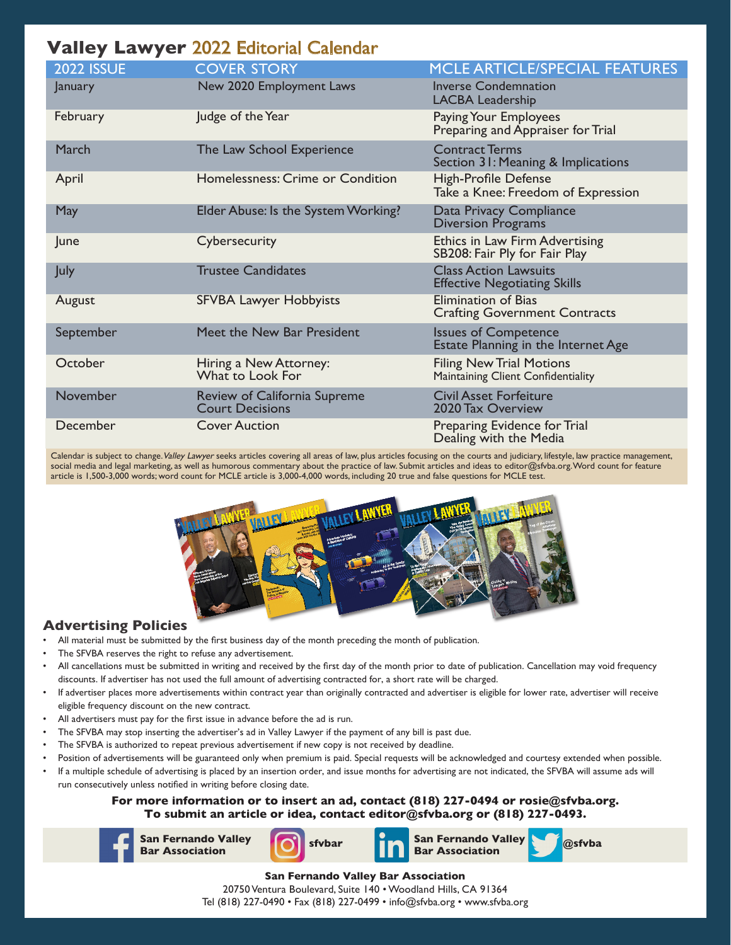# **Valley Lawyer** 2022 Editorial Calendar

| <b>2022 ISSUE</b> | <b>COVER STORY</b>                                     | MCLE ARTICLE/SPECIAL FEATURES                                         |
|-------------------|--------------------------------------------------------|-----------------------------------------------------------------------|
| January           | New 2020 Employment Laws                               | <b>Inverse Condemnation</b><br><b>LACBA Leadership</b>                |
| February          | Judge of the Year                                      | Paying Your Employees<br>Preparing and Appraiser for Trial            |
| March             | The Law School Experience                              | <b>Contract Terms</b><br>Section 31: Meaning & Implications           |
| April             | Homelessness: Crime or Condition                       | <b>High-Profile Defense</b><br>Take a Knee: Freedom of Expression     |
| <b>May</b>        | Elder Abuse: Is the System Working?                    | Data Privacy Compliance<br><b>Diversion Programs</b>                  |
| June              | Cybersecurity                                          | Ethics in Law Firm Advertising<br>SB208: Fair Ply for Fair Play       |
| <b>July</b>       | <b>Trustee Candidates</b>                              | <b>Class Action Lawsuits</b><br><b>Effective Negotiating Skills</b>   |
| August            | <b>SFVBA Lawyer Hobbyists</b>                          | <b>Elimination of Bias</b><br><b>Crafting Government Contracts</b>    |
| September         | Meet the New Bar President                             | <b>Issues of Competence</b><br>Estate Planning in the Internet Age    |
| October           | Hiring a New Attorney:<br>What to Look For             | <b>Filing New Trial Motions</b><br>Maintaining Client Confidentiality |
| November          | Review of California Supreme<br><b>Court Decisions</b> | <b>Civil Asset Forfeiture</b><br>2020 Tax Overview                    |
| December          | <b>Cover Auction</b>                                   | Preparing Evidence for Trial<br>Dealing with the Media                |

Calendar is subject to change. Valley Lawyer seeks articles covering all areas of law, plus articles focusing on the courts and judiciary, lifestyle, law practice management, social media and legal marketing, as well as humorous commentary about the practice of law. Submit articles and ideas to editor@sfvba.org. Word count for feature article is 1,500-3,000 words; word count for MCLE article is 3,000-4,000 words, including 20 true and false questions for MCLE test.



### **Advertising Policies**

- All material must be submitted by the first business day of the month preceding the month of publication.
- The SFVBA reserves the right to refuse any advertisement.
- All cancellations must be submitted in writing and received by the first day of the month prior to date of publication. Cancellation may void frequency discounts. If advertiser has not used the full amount of advertising contracted for, a short rate will be charged.
- If advertiser places more advertisements within contract year than originally contracted and advertiser is eligible for lower rate, advertiser will receive eligible frequency discount on the new contract.
- All advertisers must pay for the first issue in advance before the ad is run.
- The SFVBA may stop inserting the advertiser's ad in Valley Lawyer if the payment of any bill is past due.
- The SFVBA is authorized to repeat previous advertisement if new copy is not received by deadline.
- Position of advertisements will be guaranteed only when premium is paid. Special requests will be acknowledged and courtesy extended when possible.
- If a multiple schedule of advertising is placed by an insertion order, and issue months for advertising are not indicated, the SFVBA will assume ads will run consecutively unless notified in writing before closing date.

**For more information or to insert an ad, contact (818) 227-0494 or rosie@sfvba.org. To submit an article or idea, contact editor@sfvba.org or (818) 227-0493.**



**San Fernando Valley** 







**San Fernando Valley Bar Association** 20750 Ventura Boulevard, Suite 140 • Woodland Hills, CA 91364 Tel (818) 227-0490 • Fax (818) 227-0499 • info@sfvba.org • www.sfvba.org